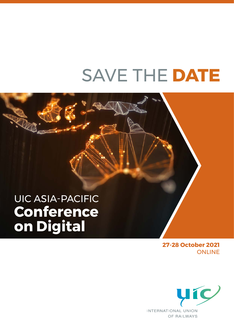# SAVE THE **DATE**

## UIC ASIA-PACIFIC **Conference on Digital**

**27-28 October 2021 ONLINE** 

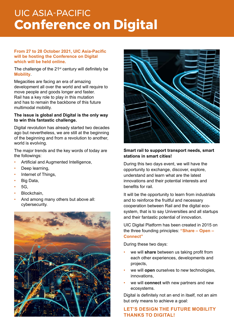## UIC ASIA-PACIFIC **Conference on Digital**

#### **From 27 to 28 October 2021, UIC Asia-Pacific will be hosting the Conference on Digital which will be held online.**

The challenge of the  $21<sup>st</sup>$  century will definitely be **Mobility**.

Megacities are facing an era of amazing development all over the world and will require to move people and goods longer and faster. Rail has a key role to play in this mutation and has to remain the backbone of this future multimodal mobility.

#### **The issue is global and Digital is the only way to win this fantastic challenge.**

Digital revolution has already started two decades ago but nevertheless, we are still at the beginning of the beginning and from a revolution to another, world is evolving.

The major trends and the key words of today are the followings:

- Artificial and Augmented Intelligence,
- Deep learning,
- Internet of Things,
- Big Data,
- 5G,
- Blockchain,
- And among many others but above all: cybersecurity.





#### **Smart rail to support transport needs, smart stations in smart cities!**

During this two days event, we will have the opportunity to exchange, discover, explore, understand and learn what are the latest innovations and their potential interests and benefits for rail.

It will be the opportunity to learn from industrials and to reinforce the fruitful and necessary cooperation between Rail and the digital ecosystem, that is to say Universities and all startups and their fantastic potential of innovation.

UIC Digital Platform has been created in 2015 on the three founding principles: **"Share – Open – Connect"**

During these two days:

- we will **share** between us taking profit from each other experiences, developments and projects,
- we will **open** ourselves to new technologies, innovations,
- we will **connect** with new partners and new ecosystems.

Digital is definitely not an end in itself, not an aim but only means to achieve a goal:

#### **LET'S DESIGN THE FUTURE MOBILITY THANKS TO DIGITAL!**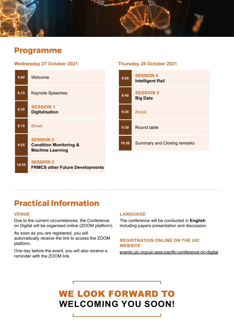

### **Programme**

#### **Wednesday 27 October 2021**

| 8:00  | Welcome                                                                          |
|-------|----------------------------------------------------------------------------------|
| 8:15  | <b>Keynote Speeches</b>                                                          |
| 8:35  | <b>SESSION 1</b><br><b>Digitalisation</b>                                        |
| 9:15  | <b>Break</b>                                                                     |
| 9:25  | <b>SESSION 2</b><br><b>Condition Monitoring &amp;</b><br><b>Machine Learning</b> |
| 10:05 | <b>SESSION 3</b><br><b>FRMCS other Future Developments</b>                       |

#### **Thursday 28 October 2021**

| 8:00  | <b>SESSION 4</b><br><b>Intelligent Rail</b> |
|-------|---------------------------------------------|
| 8:40  | <b>SESSION 5</b><br><b>Big Data</b>         |
| 9:20  | <b>Break</b>                                |
| 9:30  | Round table                                 |
| 10:30 | <b>Summary and Closing remarks</b>          |

## **Practical Information**

#### **VENUE**

Due to the current circumstances, the Conference on Digital will be organised online (ZOOM platform).

As soon as you are registered, you will automatically receive the link to access the ZOOM platform.

One day before the event, yo[u](https://mcec.com.au/ ) will also receive a reminder with the ZOOM link.

#### **LANGUAGE**

The conference will be conducted in **English** including papers presentation and discussion.

#### **REGISTRATION ONLINE ON THE UIC WEBSITE**

[events.uic.org/uic-asia-pacific-conference-on-digital](https://events.uic.org/uic-asia-pacific-conference-on-digital )

## WE LOOK FORWARD TO **WELCOMING YOU SOON!**